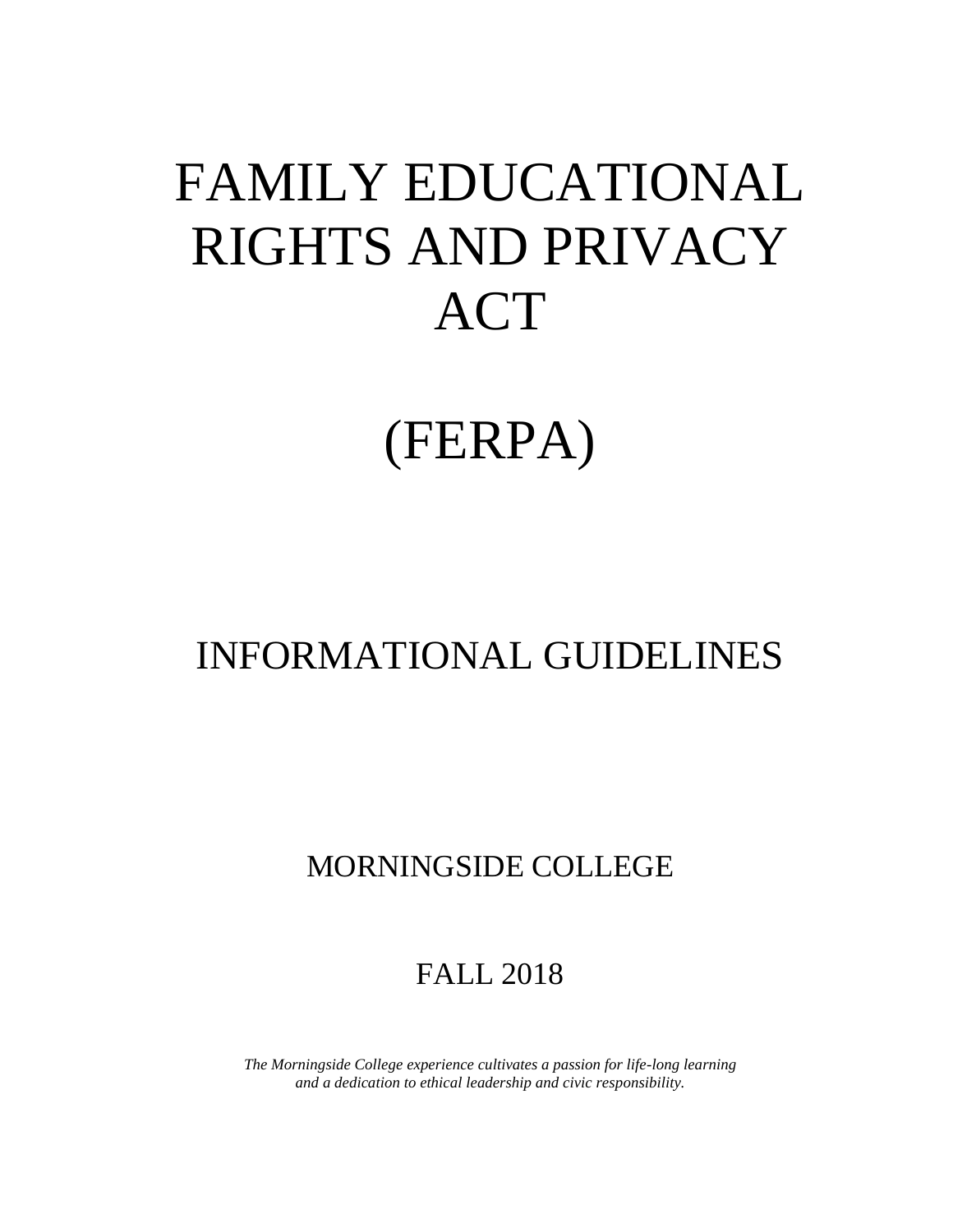# FAMILY EDUCATIONAL RIGHTS AND PRIVACY ACT

## (FERPA)

## INFORMATIONAL GUIDELINES

### MORNINGSIDE COLLEGE

### FALL 2018

*The Morningside College experience cultivates a passion for life-long learning and a dedication to ethical leadership and civic responsibility.*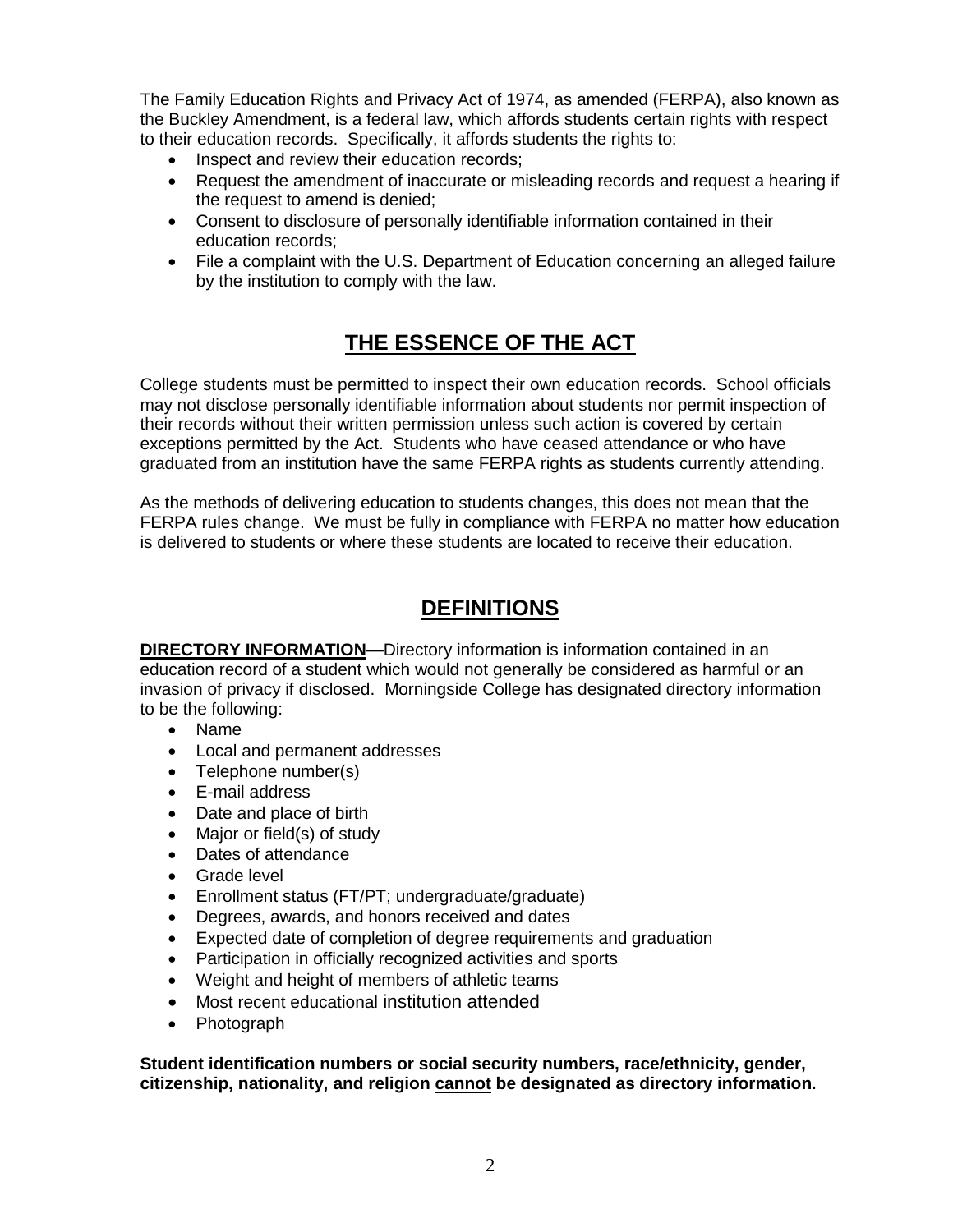The Family Education Rights and Privacy Act of 1974, as amended (FERPA), also known as the Buckley Amendment, is a federal law, which affords students certain rights with respect to their education records. Specifically, it affords students the rights to:

- Inspect and review their education records;
- Request the amendment of inaccurate or misleading records and request a hearing if the request to amend is denied;
- Consent to disclosure of personally identifiable information contained in their education records;
- File a complaint with the U.S. Department of Education concerning an alleged failure by the institution to comply with the law.

#### **THE ESSENCE OF THE ACT**

College students must be permitted to inspect their own education records. School officials may not disclose personally identifiable information about students nor permit inspection of their records without their written permission unless such action is covered by certain exceptions permitted by the Act. Students who have ceased attendance or who have graduated from an institution have the same FERPA rights as students currently attending.

As the methods of delivering education to students changes, this does not mean that the FERPA rules change. We must be fully in compliance with FERPA no matter how education is delivered to students or where these students are located to receive their education.

#### **DEFINITIONS**

**DIRECTORY INFORMATION**—Directory information is information contained in an education record of a student which would not generally be considered as harmful or an invasion of privacy if disclosed. Morningside College has designated directory information to be the following:

- Name
- Local and permanent addresses
- Telephone number(s)
- E-mail address
- Date and place of birth
- Major or field(s) of study
- Dates of attendance
- Grade level
- Enrollment status (FT/PT; undergraduate/graduate)
- Degrees, awards, and honors received and dates
- Expected date of completion of degree requirements and graduation
- Participation in officially recognized activities and sports
- Weight and height of members of athletic teams
- Most recent educational institution attended
- Photograph

**Student identification numbers or social security numbers, race/ethnicity, gender, citizenship, nationality, and religion cannot be designated as directory information.**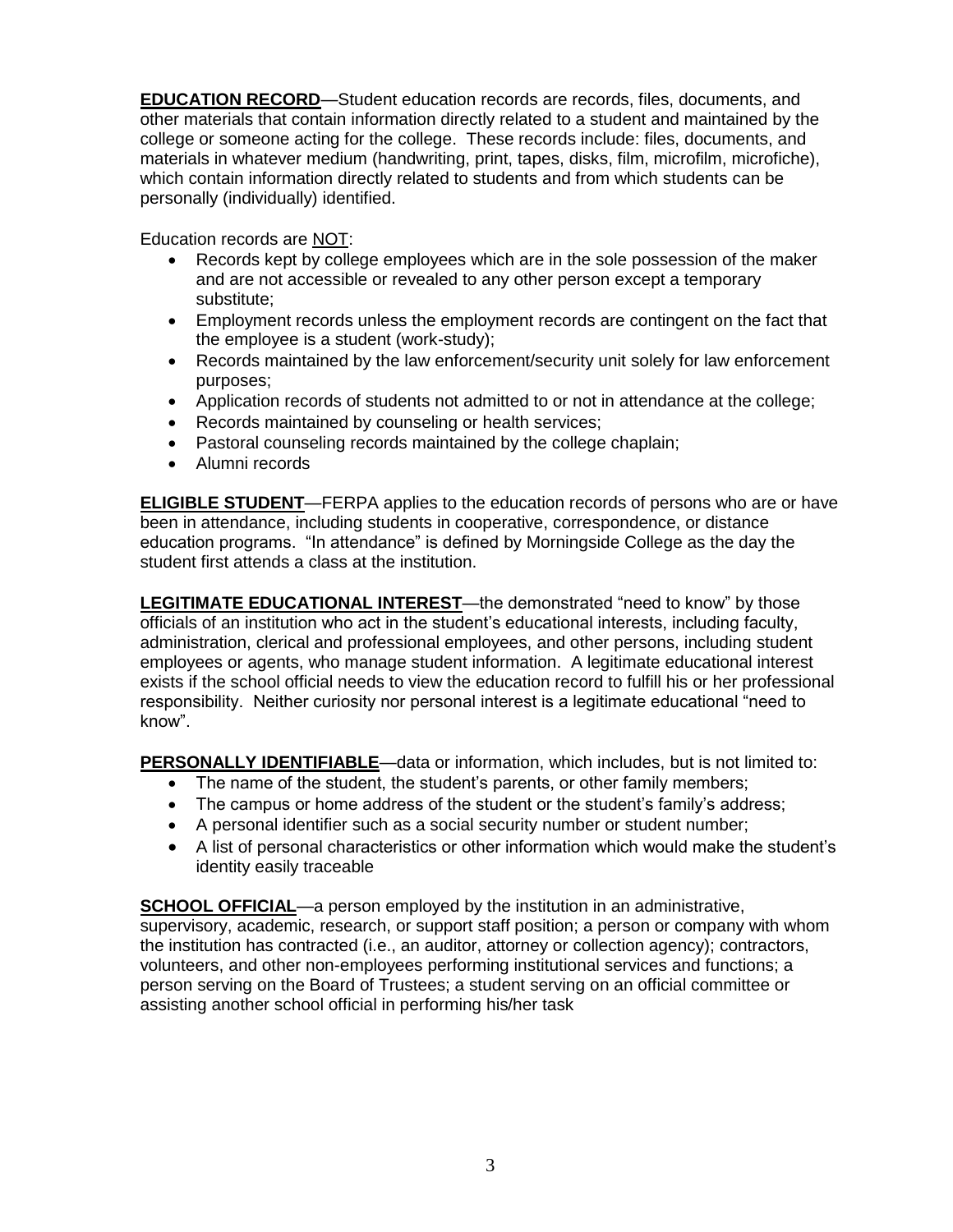**EDUCATION RECORD**—Student education records are records, files, documents, and other materials that contain information directly related to a student and maintained by the college or someone acting for the college. These records include: files, documents, and materials in whatever medium (handwriting, print, tapes, disks, film, microfilm, microfiche), which contain information directly related to students and from which students can be personally (individually) identified.

Education records are NOT:

- Records kept by college employees which are in the sole possession of the maker and are not accessible or revealed to any other person except a temporary substitute;
- Employment records unless the employment records are contingent on the fact that the employee is a student (work-study);
- Records maintained by the law enforcement/security unit solely for law enforcement purposes;
- Application records of students not admitted to or not in attendance at the college;
- Records maintained by counseling or health services;
- Pastoral counseling records maintained by the college chaplain;
- Alumni records

**ELIGIBLE STUDENT**—FERPA applies to the education records of persons who are or have been in attendance, including students in cooperative, correspondence, or distance education programs. "In attendance" is defined by Morningside College as the day the student first attends a class at the institution.

**LEGITIMATE EDUCATIONAL INTEREST**—the demonstrated "need to know" by those officials of an institution who act in the student's educational interests, including faculty, administration, clerical and professional employees, and other persons, including student employees or agents, who manage student information. A legitimate educational interest exists if the school official needs to view the education record to fulfill his or her professional responsibility. Neither curiosity nor personal interest is a legitimate educational "need to know".

**PERSONALLY IDENTIFIABLE**—data or information, which includes, but is not limited to:

- The name of the student, the student's parents, or other family members;
- The campus or home address of the student or the student's family's address;
- A personal identifier such as a social security number or student number;
- A list of personal characteristics or other information which would make the student's identity easily traceable

**SCHOOL OFFICIAL—a** person employed by the institution in an administrative, supervisory, academic, research, or support staff position; a person or company with whom the institution has contracted (i.e., an auditor, attorney or collection agency); contractors, volunteers, and other non-employees performing institutional services and functions; a person serving on the Board of Trustees; a student serving on an official committee or assisting another school official in performing his/her task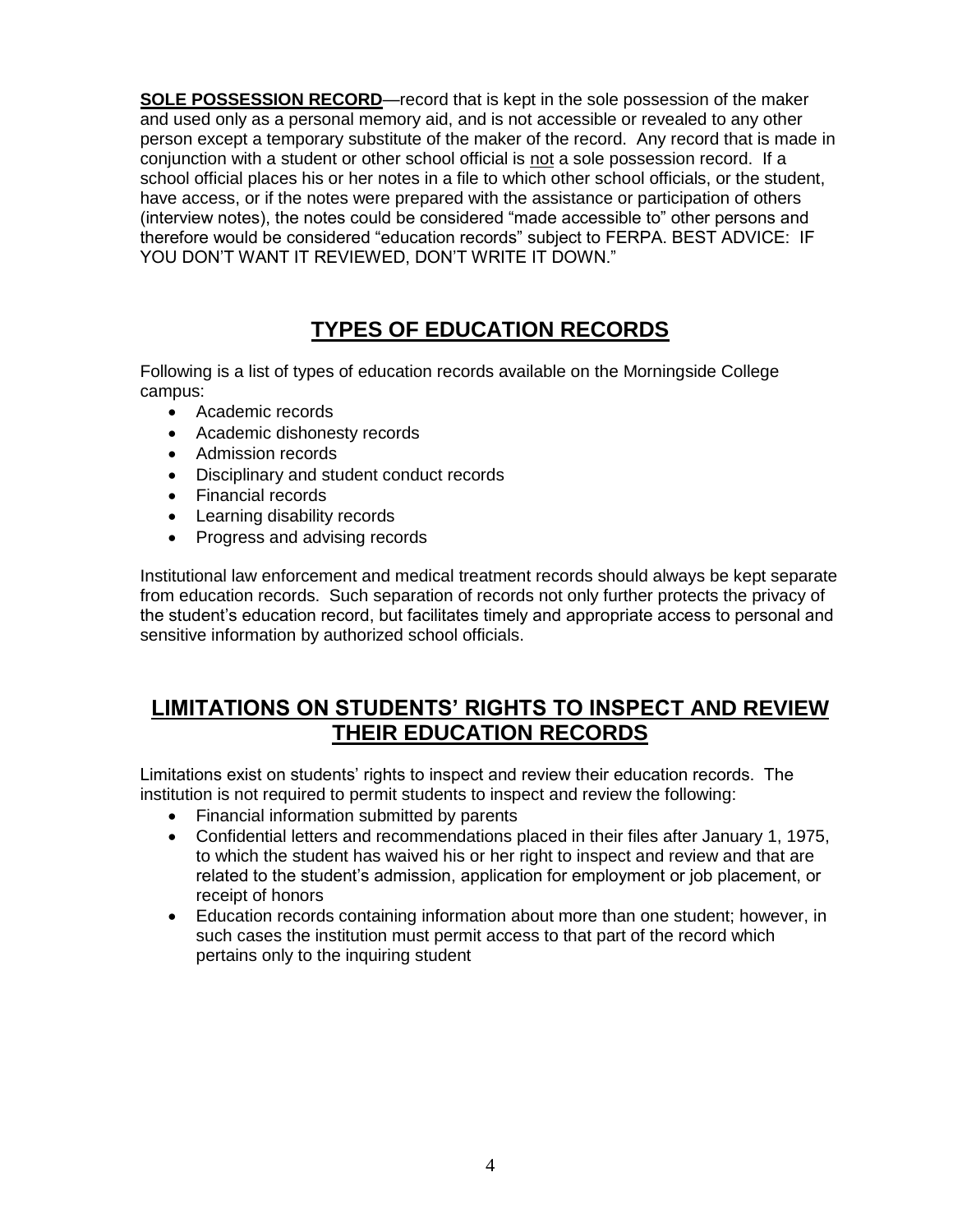**SOLE POSSESSION RECORD**—record that is kept in the sole possession of the maker and used only as a personal memory aid, and is not accessible or revealed to any other person except a temporary substitute of the maker of the record. Any record that is made in conjunction with a student or other school official is not a sole possession record. If a school official places his or her notes in a file to which other school officials, or the student, have access, or if the notes were prepared with the assistance or participation of others (interview notes), the notes could be considered "made accessible to" other persons and therefore would be considered "education records" subject to FERPA. BEST ADVICE: IF YOU DON'T WANT IT REVIEWED, DON'T WRITE IT DOWN."

#### **TYPES OF EDUCATION RECORDS**

Following is a list of types of education records available on the Morningside College campus:

- Academic records
- Academic dishonesty records
- Admission records
- Disciplinary and student conduct records
- Financial records
- Learning disability records
- Progress and advising records

Institutional law enforcement and medical treatment records should always be kept separate from education records. Such separation of records not only further protects the privacy of the student's education record, but facilitates timely and appropriate access to personal and sensitive information by authorized school officials.

#### **LIMITATIONS ON STUDENTS' RIGHTS TO INSPECT AND REVIEW THEIR EDUCATION RECORDS**

Limitations exist on students' rights to inspect and review their education records. The institution is not required to permit students to inspect and review the following:

- Financial information submitted by parents
- Confidential letters and recommendations placed in their files after January 1, 1975, to which the student has waived his or her right to inspect and review and that are related to the student's admission, application for employment or job placement, or receipt of honors
- Education records containing information about more than one student; however, in such cases the institution must permit access to that part of the record which pertains only to the inquiring student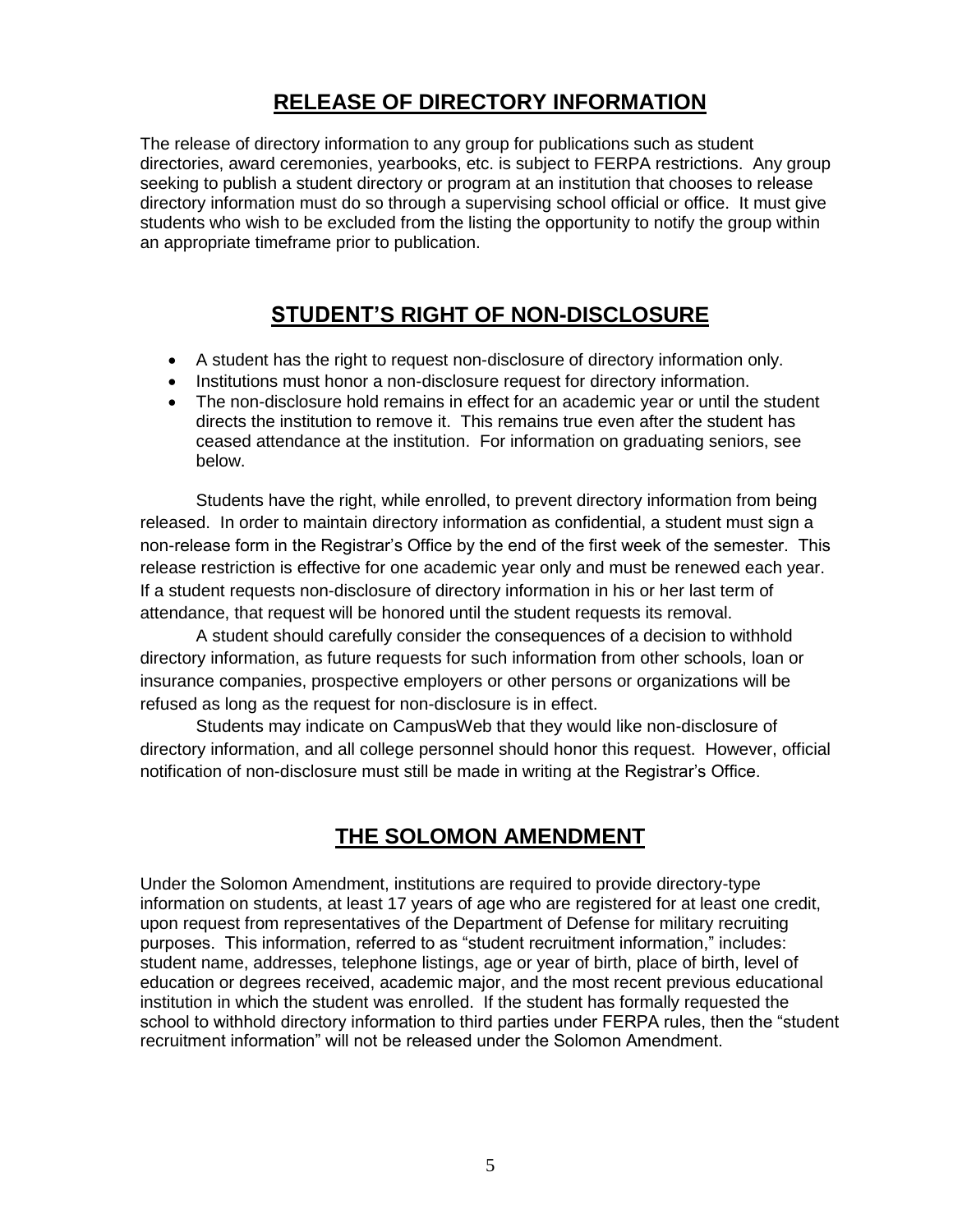#### **RELEASE OF DIRECTORY INFORMATION**

The release of directory information to any group for publications such as student directories, award ceremonies, yearbooks, etc. is subject to FERPA restrictions. Any group seeking to publish a student directory or program at an institution that chooses to release directory information must do so through a supervising school official or office. It must give students who wish to be excluded from the listing the opportunity to notify the group within an appropriate timeframe prior to publication.

#### **STUDENT'S RIGHT OF NON-DISCLOSURE**

- A student has the right to request non-disclosure of directory information only.
- Institutions must honor a non-disclosure request for directory information.
- The non-disclosure hold remains in effect for an academic year or until the student directs the institution to remove it. This remains true even after the student has ceased attendance at the institution. For information on graduating seniors, see below.

Students have the right, while enrolled, to prevent directory information from being released. In order to maintain directory information as confidential, a student must sign a non-release form in the Registrar's Office by the end of the first week of the semester. This release restriction is effective for one academic year only and must be renewed each year. If a student requests non-disclosure of directory information in his or her last term of attendance, that request will be honored until the student requests its removal.

A student should carefully consider the consequences of a decision to withhold directory information, as future requests for such information from other schools, loan or insurance companies, prospective employers or other persons or organizations will be refused as long as the request for non-disclosure is in effect.

Students may indicate on CampusWeb that they would like non-disclosure of directory information, and all college personnel should honor this request. However, official notification of non-disclosure must still be made in writing at the Registrar's Office.

#### **THE SOLOMON AMENDMENT**

Under the Solomon Amendment, institutions are required to provide directory-type information on students, at least 17 years of age who are registered for at least one credit, upon request from representatives of the Department of Defense for military recruiting purposes. This information, referred to as "student recruitment information," includes: student name, addresses, telephone listings, age or year of birth, place of birth, level of education or degrees received, academic major, and the most recent previous educational institution in which the student was enrolled. If the student has formally requested the school to withhold directory information to third parties under FERPA rules, then the "student recruitment information" will not be released under the Solomon Amendment.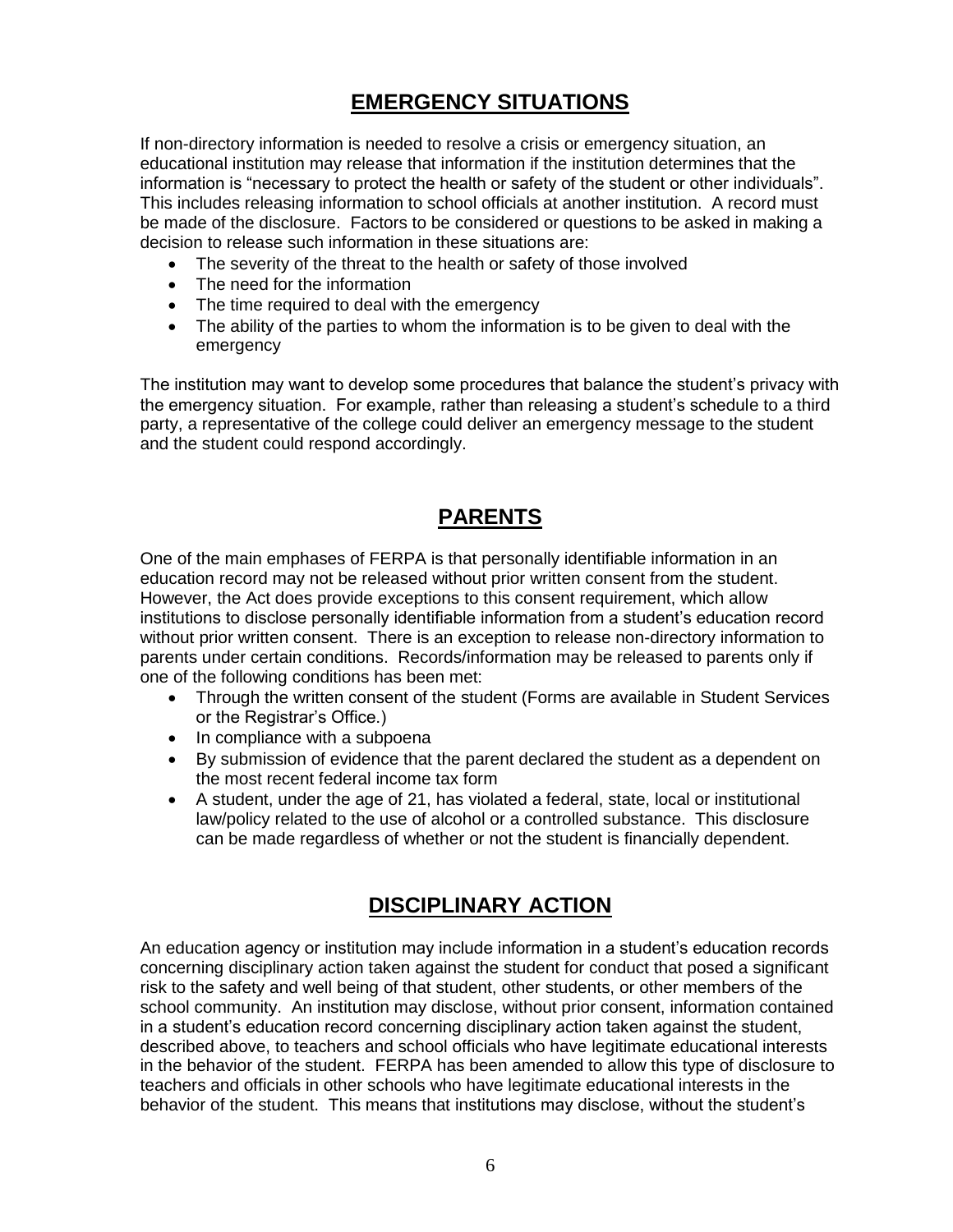#### **EMERGENCY SITUATIONS**

If non-directory information is needed to resolve a crisis or emergency situation, an educational institution may release that information if the institution determines that the information is "necessary to protect the health or safety of the student or other individuals". This includes releasing information to school officials at another institution. A record must be made of the disclosure. Factors to be considered or questions to be asked in making a decision to release such information in these situations are:

- The severity of the threat to the health or safety of those involved
- The need for the information
- The time required to deal with the emergency
- The ability of the parties to whom the information is to be given to deal with the emergency

The institution may want to develop some procedures that balance the student's privacy with the emergency situation. For example, rather than releasing a student's schedule to a third party, a representative of the college could deliver an emergency message to the student and the student could respond accordingly.

#### **PARENTS**

One of the main emphases of FERPA is that personally identifiable information in an education record may not be released without prior written consent from the student. However, the Act does provide exceptions to this consent requirement, which allow institutions to disclose personally identifiable information from a student's education record without prior written consent. There is an exception to release non-directory information to parents under certain conditions. Records/information may be released to parents only if one of the following conditions has been met:

- Through the written consent of the student (Forms are available in Student Services or the Registrar's Office.)
- In compliance with a subpoena
- By submission of evidence that the parent declared the student as a dependent on the most recent federal income tax form
- A student, under the age of 21, has violated a federal, state, local or institutional law/policy related to the use of alcohol or a controlled substance. This disclosure can be made regardless of whether or not the student is financially dependent.

#### **DISCIPLINARY ACTION**

An education agency or institution may include information in a student's education records concerning disciplinary action taken against the student for conduct that posed a significant risk to the safety and well being of that student, other students, or other members of the school community. An institution may disclose, without prior consent, information contained in a student's education record concerning disciplinary action taken against the student, described above, to teachers and school officials who have legitimate educational interests in the behavior of the student. FERPA has been amended to allow this type of disclosure to teachers and officials in other schools who have legitimate educational interests in the behavior of the student. This means that institutions may disclose, without the student's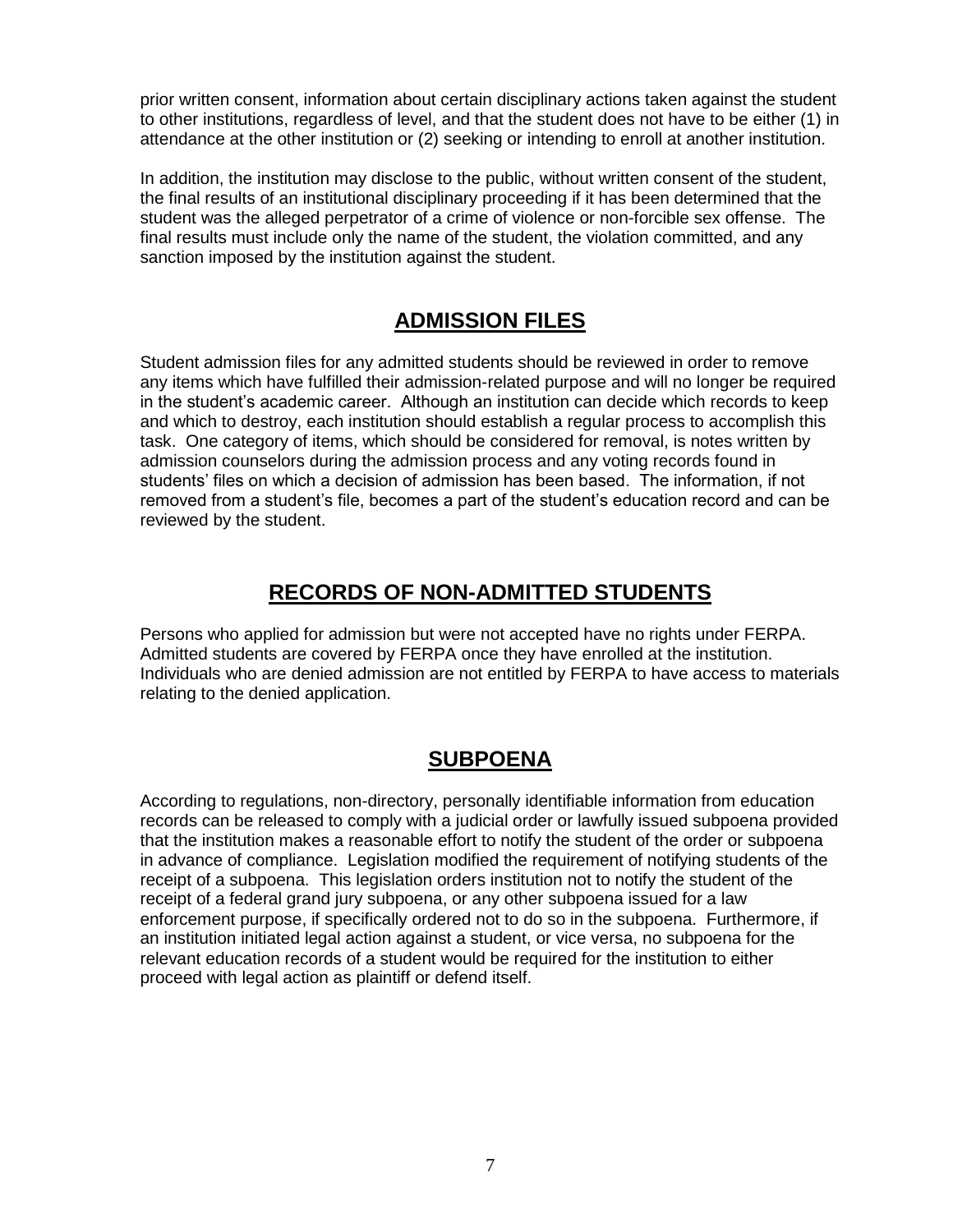prior written consent, information about certain disciplinary actions taken against the student to other institutions, regardless of level, and that the student does not have to be either (1) in attendance at the other institution or (2) seeking or intending to enroll at another institution.

In addition, the institution may disclose to the public, without written consent of the student, the final results of an institutional disciplinary proceeding if it has been determined that the student was the alleged perpetrator of a crime of violence or non-forcible sex offense. The final results must include only the name of the student, the violation committed, and any sanction imposed by the institution against the student.

#### **ADMISSION FILES**

Student admission files for any admitted students should be reviewed in order to remove any items which have fulfilled their admission-related purpose and will no longer be required in the student's academic career. Although an institution can decide which records to keep and which to destroy, each institution should establish a regular process to accomplish this task. One category of items, which should be considered for removal, is notes written by admission counselors during the admission process and any voting records found in students' files on which a decision of admission has been based. The information, if not removed from a student's file, becomes a part of the student's education record and can be reviewed by the student.

#### **RECORDS OF NON-ADMITTED STUDENTS**

Persons who applied for admission but were not accepted have no rights under FERPA. Admitted students are covered by FERPA once they have enrolled at the institution. Individuals who are denied admission are not entitled by FERPA to have access to materials relating to the denied application.

#### **SUBPOENA**

According to regulations, non-directory, personally identifiable information from education records can be released to comply with a judicial order or lawfully issued subpoena provided that the institution makes a reasonable effort to notify the student of the order or subpoena in advance of compliance. Legislation modified the requirement of notifying students of the receipt of a subpoena. This legislation orders institution not to notify the student of the receipt of a federal grand jury subpoena, or any other subpoena issued for a law enforcement purpose, if specifically ordered not to do so in the subpoena. Furthermore, if an institution initiated legal action against a student, or vice versa, no subpoena for the relevant education records of a student would be required for the institution to either proceed with legal action as plaintiff or defend itself.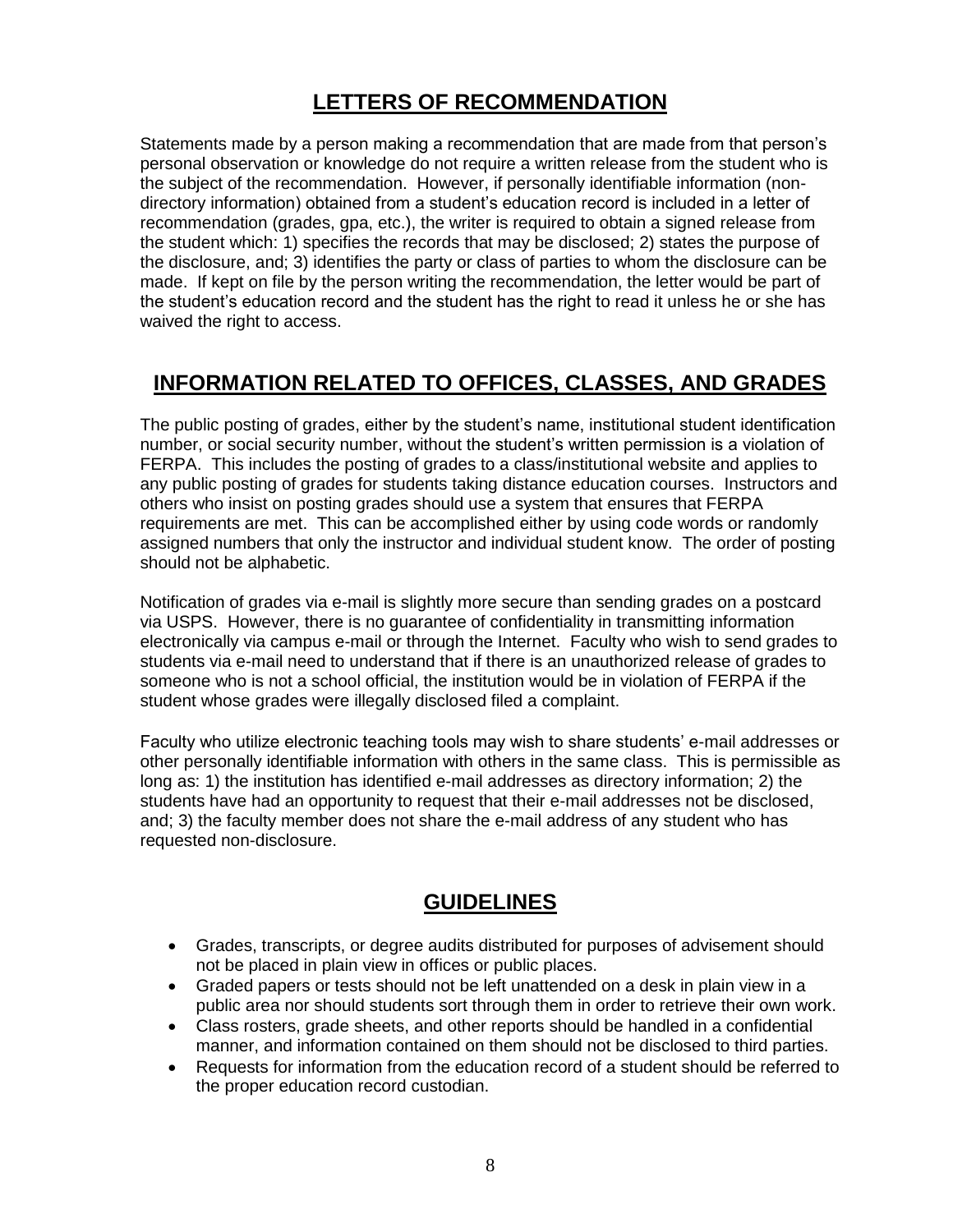#### **LETTERS OF RECOMMENDATION**

Statements made by a person making a recommendation that are made from that person's personal observation or knowledge do not require a written release from the student who is the subject of the recommendation. However, if personally identifiable information (nondirectory information) obtained from a student's education record is included in a letter of recommendation (grades, gpa, etc.), the writer is required to obtain a signed release from the student which: 1) specifies the records that may be disclosed; 2) states the purpose of the disclosure, and; 3) identifies the party or class of parties to whom the disclosure can be made. If kept on file by the person writing the recommendation, the letter would be part of the student's education record and the student has the right to read it unless he or she has waived the right to access.

#### **INFORMATION RELATED TO OFFICES, CLASSES, AND GRADES**

The public posting of grades, either by the student's name, institutional student identification number, or social security number, without the student's written permission is a violation of FERPA. This includes the posting of grades to a class/institutional website and applies to any public posting of grades for students taking distance education courses. Instructors and others who insist on posting grades should use a system that ensures that FERPA requirements are met. This can be accomplished either by using code words or randomly assigned numbers that only the instructor and individual student know. The order of posting should not be alphabetic.

Notification of grades via e-mail is slightly more secure than sending grades on a postcard via USPS. However, there is no guarantee of confidentiality in transmitting information electronically via campus e-mail or through the Internet. Faculty who wish to send grades to students via e-mail need to understand that if there is an unauthorized release of grades to someone who is not a school official, the institution would be in violation of FERPA if the student whose grades were illegally disclosed filed a complaint.

Faculty who utilize electronic teaching tools may wish to share students' e-mail addresses or other personally identifiable information with others in the same class. This is permissible as long as: 1) the institution has identified e-mail addresses as directory information; 2) the students have had an opportunity to request that their e-mail addresses not be disclosed, and; 3) the faculty member does not share the e-mail address of any student who has requested non-disclosure.

#### **GUIDELINES**

- Grades, transcripts, or degree audits distributed for purposes of advisement should not be placed in plain view in offices or public places.
- Graded papers or tests should not be left unattended on a desk in plain view in a public area nor should students sort through them in order to retrieve their own work.
- Class rosters, grade sheets, and other reports should be handled in a confidential manner, and information contained on them should not be disclosed to third parties.
- Requests for information from the education record of a student should be referred to the proper education record custodian.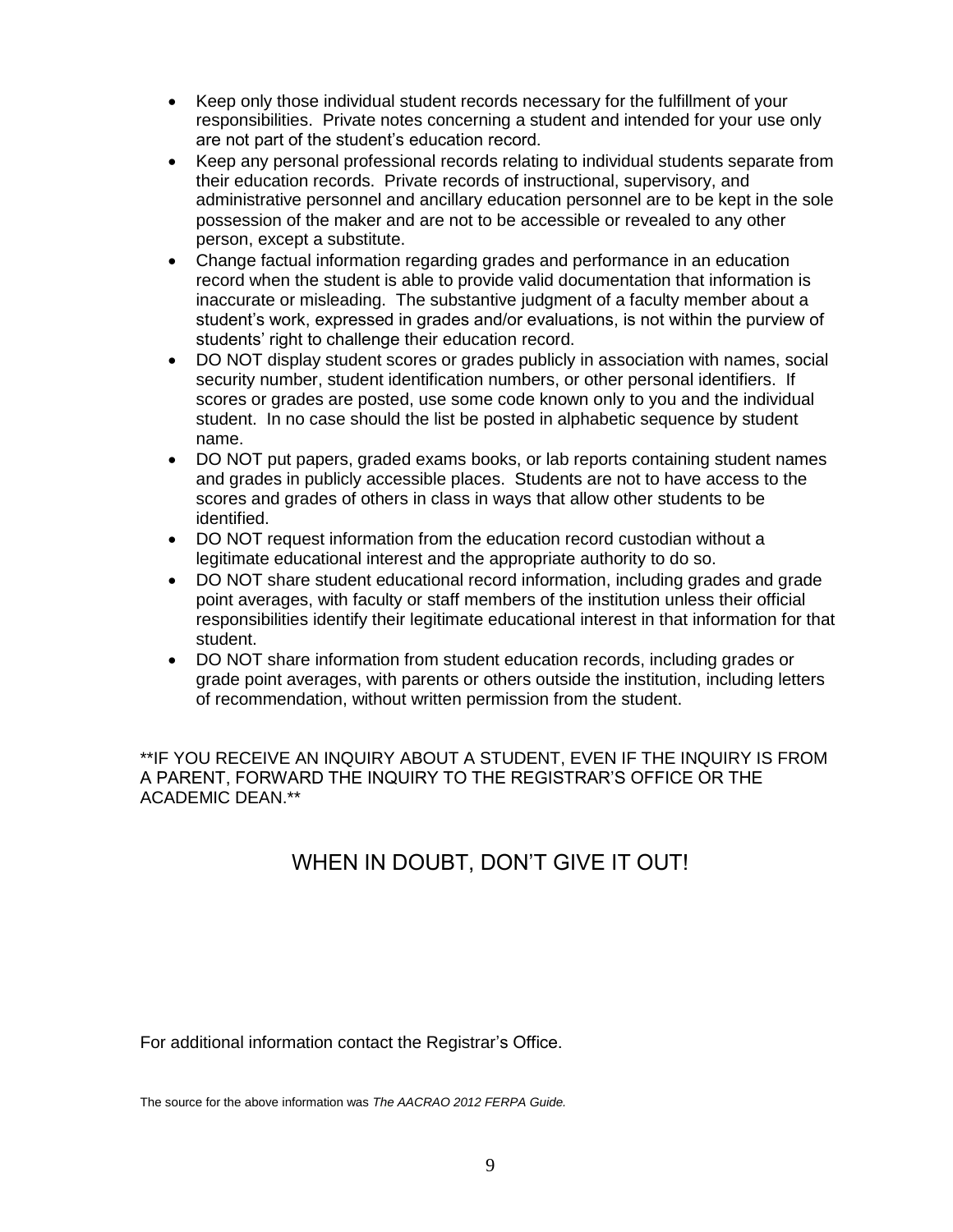- Keep only those individual student records necessary for the fulfillment of your responsibilities. Private notes concerning a student and intended for your use only are not part of the student's education record.
- Keep any personal professional records relating to individual students separate from their education records. Private records of instructional, supervisory, and administrative personnel and ancillary education personnel are to be kept in the sole possession of the maker and are not to be accessible or revealed to any other person, except a substitute.
- Change factual information regarding grades and performance in an education record when the student is able to provide valid documentation that information is inaccurate or misleading. The substantive judgment of a faculty member about a student's work, expressed in grades and/or evaluations, is not within the purview of students' right to challenge their education record.
- DO NOT display student scores or grades publicly in association with names, social security number, student identification numbers, or other personal identifiers. If scores or grades are posted, use some code known only to you and the individual student. In no case should the list be posted in alphabetic sequence by student name.
- DO NOT put papers, graded exams books, or lab reports containing student names and grades in publicly accessible places. Students are not to have access to the scores and grades of others in class in ways that allow other students to be identified.
- DO NOT request information from the education record custodian without a legitimate educational interest and the appropriate authority to do so.
- DO NOT share student educational record information, including grades and grade point averages, with faculty or staff members of the institution unless their official responsibilities identify their legitimate educational interest in that information for that student.
- DO NOT share information from student education records, including grades or grade point averages, with parents or others outside the institution, including letters of recommendation, without written permission from the student.

\*\*IF YOU RECEIVE AN INQUIRY ABOUT A STUDENT, EVEN IF THE INQUIRY IS FROM A PARENT, FORWARD THE INQUIRY TO THE REGISTRAR'S OFFICE OR THE ACADEMIC DEAN.\*\*

#### WHEN IN DOUBT, DON'T GIVE IT OUT!

For additional information contact the Registrar's Office.

The source for the above information was *The AACRAO 2012 FERPA Guide.*